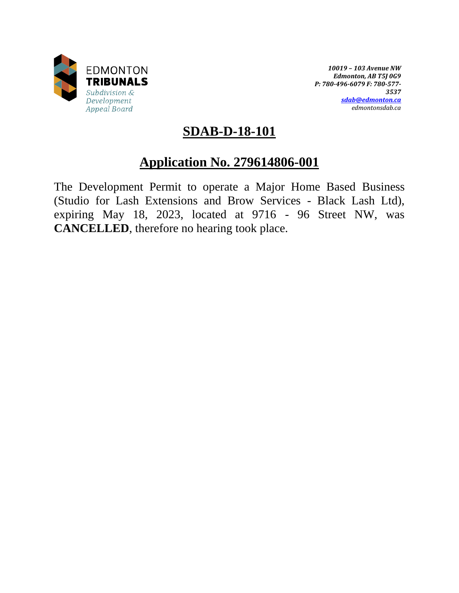

*10019 – 103 Avenue NW Edmonton, AB T5J 0G9 P: 780-496-6079 F: 780-577- 3537 [sdab@edmonton.ca](mailto:sdab@edmonton.ca) edmontonsdab.ca*

## **SDAB-D-18-101**

# **Application No. 279614806-001**

The Development Permit to operate a Major Home Based Business (Studio for Lash Extensions and Brow Services - Black Lash Ltd), expiring May 18, 2023, located at 9716 - 96 Street NW, was **CANCELLED**, therefore no hearing took place.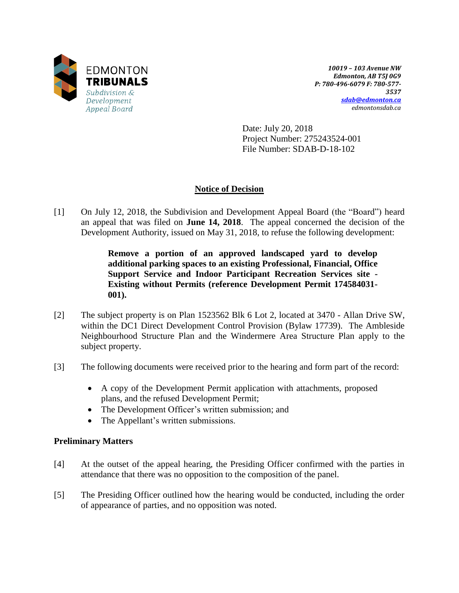

*10019 – 103 Avenue NW Edmonton, AB T5J 0G9 P: 780-496-6079 F: 780-577- 3537 [sdab@edmonton.ca](mailto:sdab@edmonton.ca) edmontonsdab.ca*

Date: July 20, 2018 Project Number: 275243524-001 File Number: SDAB-D-18-102

## **Notice of Decision**

[1] On July 12, 2018, the Subdivision and Development Appeal Board (the "Board") heard an appeal that was filed on **June 14, 2018**. The appeal concerned the decision of the Development Authority, issued on May 31, 2018, to refuse the following development:

> **Remove a portion of an approved landscaped yard to develop additional parking spaces to an existing Professional, Financial, Office Support Service and Indoor Participant Recreation Services site - Existing without Permits (reference Development Permit 174584031- 001).**

- [2] The subject property is on Plan 1523562 Blk 6 Lot 2, located at 3470 Allan Drive SW, within the DC1 Direct Development Control Provision (Bylaw 17739). The Ambleside Neighbourhood Structure Plan and the Windermere Area Structure Plan apply to the subject property.
- [3] The following documents were received prior to the hearing and form part of the record:
	- A copy of the Development Permit application with attachments, proposed plans, and the refused Development Permit;
	- The Development Officer's written submission; and
	- The Appellant's written submissions.

### **Preliminary Matters**

- [4] At the outset of the appeal hearing, the Presiding Officer confirmed with the parties in attendance that there was no opposition to the composition of the panel.
- [5] The Presiding Officer outlined how the hearing would be conducted, including the order of appearance of parties, and no opposition was noted.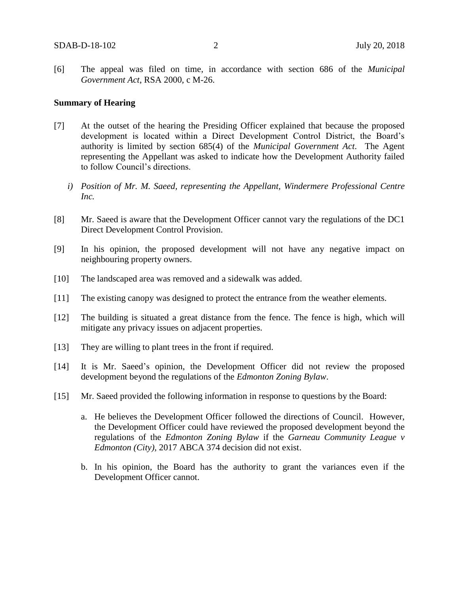[6] The appeal was filed on time, in accordance with section 686 of the *Municipal Government Act*, RSA 2000, c M-26.

#### **Summary of Hearing**

- [7] At the outset of the hearing the Presiding Officer explained that because the proposed development is located within a Direct Development Control District, the Board's authority is limited by section 685(4) of the *Municipal Government Act*. The Agent representing the Appellant was asked to indicate how the Development Authority failed to follow Council's directions.
	- *i) Position of Mr. M. Saeed, representing the Appellant, Windermere Professional Centre Inc.*
- [8] Mr. Saeed is aware that the Development Officer cannot vary the regulations of the DC1 Direct Development Control Provision.
- [9] In his opinion, the proposed development will not have any negative impact on neighbouring property owners.
- [10] The landscaped area was removed and a sidewalk was added.
- [11] The existing canopy was designed to protect the entrance from the weather elements.
- [12] The building is situated a great distance from the fence. The fence is high, which will mitigate any privacy issues on adjacent properties.
- [13] They are willing to plant trees in the front if required.
- [14] It is Mr. Saeed's opinion, the Development Officer did not review the proposed development beyond the regulations of the *Edmonton Zoning Bylaw*.
- [15] Mr. Saeed provided the following information in response to questions by the Board:
	- a. He believes the Development Officer followed the directions of Council. However, the Development Officer could have reviewed the proposed development beyond the regulations of the *Edmonton Zoning Bylaw* if the *Garneau Community League v Edmonton (City),* 2017 ABCA 374 decision did not exist.
	- b. In his opinion, the Board has the authority to grant the variances even if the Development Officer cannot.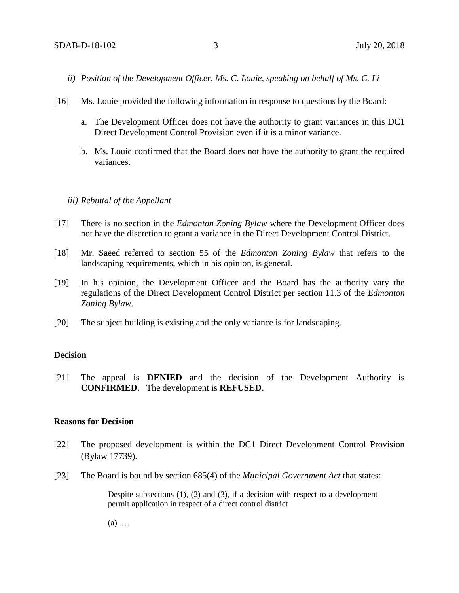- *ii) Position of the Development Officer, Ms. C. Louie, speaking on behalf of Ms. C. Li*
- [16] Ms. Louie provided the following information in response to questions by the Board:
	- a. The Development Officer does not have the authority to grant variances in this DC1 Direct Development Control Provision even if it is a minor variance.
	- b. Ms. Louie confirmed that the Board does not have the authority to grant the required variances.

#### *iii) Rebuttal of the Appellant*

- [17] There is no section in the *Edmonton Zoning Bylaw* where the Development Officer does not have the discretion to grant a variance in the Direct Development Control District.
- [18] Mr. Saeed referred to section 55 of the *Edmonton Zoning Bylaw* that refers to the landscaping requirements, which in his opinion, is general.
- [19] In his opinion, the Development Officer and the Board has the authority vary the regulations of the Direct Development Control District per section 11.3 of the *Edmonton Zoning Bylaw*.
- [20] The subject building is existing and the only variance is for landscaping.

#### **Decision**

[21] The appeal is **DENIED** and the decision of the Development Authority is **CONFIRMED**. The development is **REFUSED**.

#### **Reasons for Decision**

- [22] The proposed development is within the DC1 Direct Development Control Provision (Bylaw 17739).
- [23] The Board is bound by section 685(4) of the *Municipal Government Act* that states:

Despite subsections (1), (2) and (3), if a decision with respect to a development permit application in respect of a direct control district

(a) …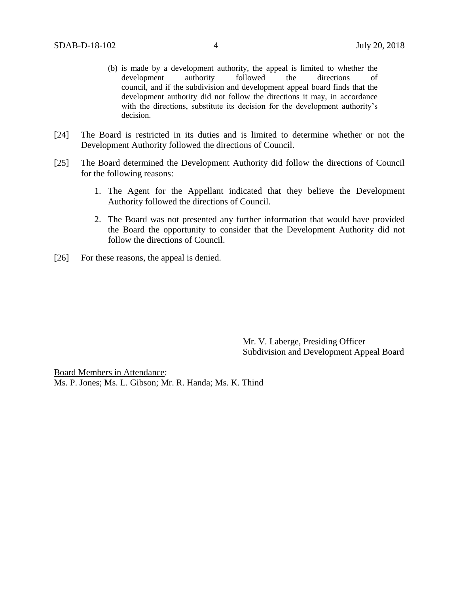- (b) is made by a development authority, the appeal is limited to whether the development authority followed the directions of council, and if the subdivision and development appeal board finds that the development authority did not follow the directions it may, in accordance with the directions, substitute its decision for the development authority's decision.
- [24] The Board is restricted in its duties and is limited to determine whether or not the Development Authority followed the directions of Council.
- [25] The Board determined the Development Authority did follow the directions of Council for the following reasons:
	- 1. The Agent for the Appellant indicated that they believe the Development Authority followed the directions of Council.
	- 2. The Board was not presented any further information that would have provided the Board the opportunity to consider that the Development Authority did not follow the directions of Council.
- [26] For these reasons, the appeal is denied.

Mr. V. Laberge, Presiding Officer Subdivision and Development Appeal Board

Board Members in Attendance: Ms. P. Jones; Ms. L. Gibson; Mr. R. Handa; Ms. K. Thind